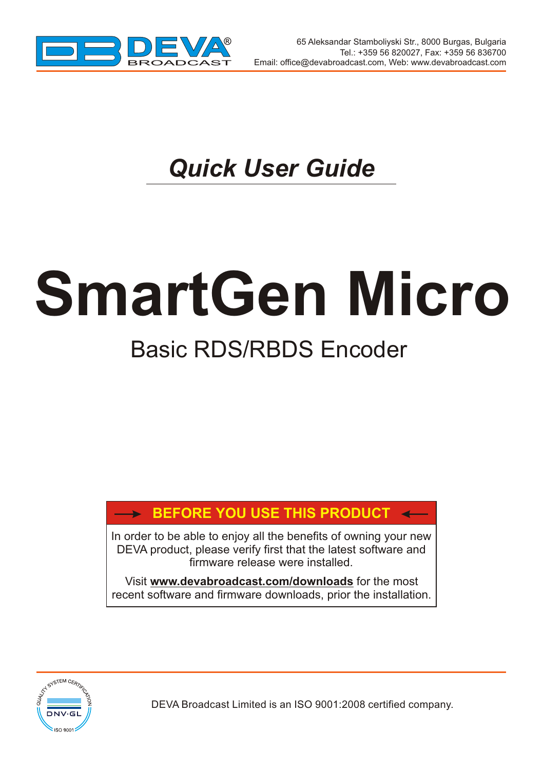

 $\overline{\phantom{a}}$ 

## *Quick User Guide*

# **SmartGen Micro** Basic RDS/RBDS Encoder

## **BEFORE YOU USE THIS PRODUCT**

In order to be able to enjoy all the benefits of owning your new DEVA product, please verify first that the latest software and firmware release were installed.

Visit **www.devabroadcast.com/downloads** for the most recent software and firmware downloads, prior the installation.



DEVA Broadcast Limited is an ISO 9001:2008 certified company.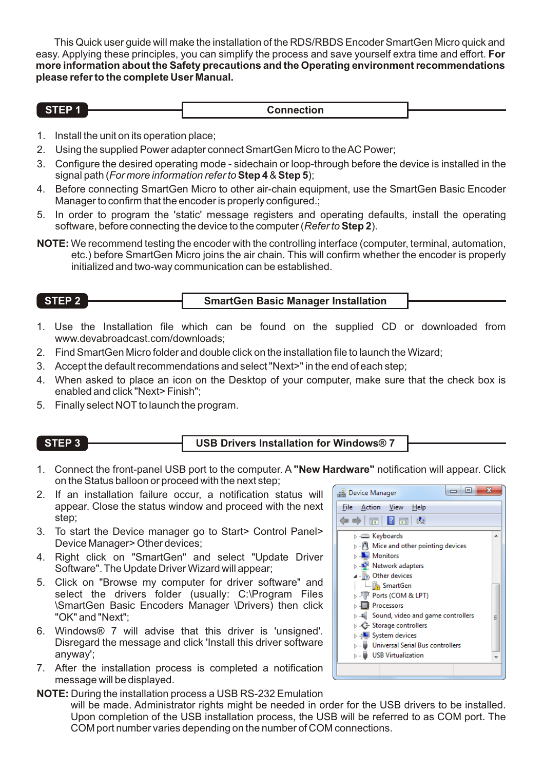This Quick user guide will make the installation of the RDS/RBDS Encoder SmartGen Micro quick and easy. Applying these principles, you can simplify the process and save yourself extra time and effort. **For more information about the Safety precautions and the Operating environment recommendations please refer to the complete User Manual.**

- 1. Install the unit on its operation place;
- 2. Using the supplied Power adapter connect SmartGen Micro to the AC Power;
- 3. Configure the desired operating mode sidechain or loop-through before the device is installed in the signal path (*For more information refer to***Step 4** &**Step 5**);
- 4. Before connecting SmartGen Micro to other air-chain equipment, use the SmartGen Basic Encoder Manager to confirm that the encoder is properly configured.;
- 5. In order to program the 'static' message registers and operating defaults, install the operating software, before connecting the device to the computer (*Refer to* **Step 2**).
- **NOTE:** We recommend testing the encoder with the controlling interface (computer, terminal, automation, etc.) before SmartGen Micro joins the air chain. This will confirm whether the encoder is properly initialized and two-way communication can be established.

#### **STEP 2 SmartGen Basic Manager Installation**

- 1. Use the Installation file which can be found on the supplied CD or downloaded from www.devabroadcast.com/downloads;
- 2. Find SmartGen Micro folder and double click on the installation file to launch the Wizard;
- 3. Accept the default recommendations and select "Next>" in the end of each step;
- 4. When asked to place an icon on the Desktop of your computer, make sure that the check box is enabled and click "Next> Finish";
- 5. Finally select NOT to launch the program.

## **STEP 3 USB Drivers Installation for Windows® 7**

- 1. Connect the front-panel USB port to the computer. A **"New Hardware"** notification will appear. Click on the Status balloon or proceed with the next step;
- 2. If an installation failure occur, a notification status will appear. Close the status window and proceed with the next step;
- 3. To start the Device manager go to Start> Control Panel> Device Manager> Other devices;
- 4. Right click on "SmartGen" and select "Update Driver Software". The Update Driver Wizard will appear;
- 5. Click on "Browse my computer for driver software" and select the drivers folder (usually: C:\Program Files \SmartGen Basic Encoders Manager \Drivers) then click "OK" and "Next";
- 6. Windows® 7 will advise that this driver is 'unsigned'. Disregard the message and click 'Install this driver software anyway';
- 7. After the installation process is completed a notification message will be displayed.
- **NOTE:** During the installation process a USB RS-232 Emulation

will be made. Administrator rights might be needed in order for the USB drivers to be installed. Upon completion of the USB installation process, the USB will be referred to as COM port. The COM port number varies depending on the number of COM connections.

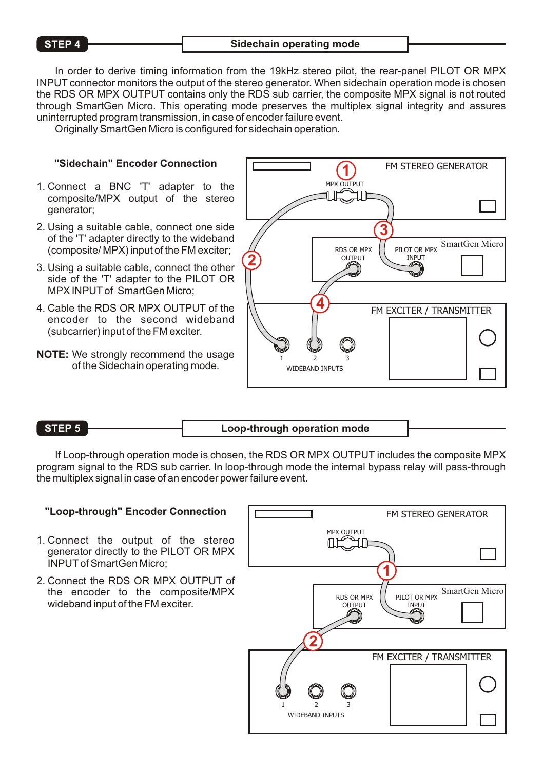#### **STEP 4** Sidechain operating mode

In order to derive timing information from the 19kHz stereo pilot, the rear-panel PILOT OR MPX INPUT connector monitors the output of the stereo generator. When sidechain operation mode is chosen the RDS OR MPX OUTPUT contains only the RDS sub carrier, the composite MPX signal is not routed through SmartGen Micro. This operating mode preserves the multiplex signal integrity and assures uninterrupted program transmission, in case of encoder failure event.

Originally SmartGen Micro is configured for sidechain operation.

### **"Sidechain" Encoder Connection**

- 1. Connect a BNC 'T' adapter to the composite/MPX output of the stereo generator;
- 2. Using a suitable cable, connect one side of the 'T' adapter directly to the wideband (composite/ MPX) input of the FM exciter;
- 3. Using a suitable cable, connect the other side of the 'T' adapter to the PILOT OR MPX INPUTof SmartGen Micro;
- 4. Cable the RDS OR MPX OUTPUT of the encoder to the second wideband (subcarrier) input of the FM exciter.
- **NOTE:** We strongly recommend the usage of the Sidechain operating mode.



#### **STEP 5 Loop-through operation mode**

If Loop-through operation mode is chosen, the RDS OR MPX OUTPUT includes the composite MPX program signal to the RDS sub carrier. In loop-through mode the internal bypass relay will pass-through the multiplex signal in case of an encoder power failure event.

### **"Loop-through" Encoder Connection**

- 1. Connect the output of the stereo generator directly to the PILOT OR MPX INPUTof SmartGen Micro;
- 2. Connect the RDS OR MPX OUTPUT of the encoder to the composite/MPX wideband input of the FM exciter.